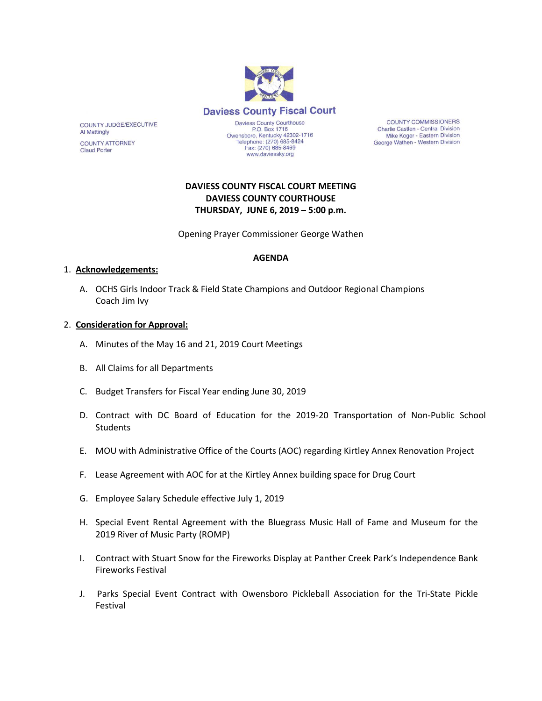

**COUNTY COMMISSIONERS** Charlie Castlen - Central Division Mike Koger - Eastern Division George Wathen - Western Division

## **DAVIESS COUNTY FISCAL COURT MEETING DAVIESS COUNTY COURTHOUSE THURSDAY, JUNE 6, 2019 – 5:00 p.m.**

www.daviessky.org

Opening Prayer Commissioner George Wathen

## **AGENDA**

#### 1. **Acknowledgements:**

A. OCHS Girls Indoor Track & Field State Champions and Outdoor Regional Champions Coach Jim Ivy

### 2. **Consideration for Approval:**

- A. Minutes of the May 16 and 21, 2019 Court Meetings
- B. All Claims for all Departments
- C. Budget Transfers for Fiscal Year ending June 30, 2019
- D. Contract with DC Board of Education for the 2019-20 Transportation of Non-Public School **Students**
- E. MOU with Administrative Office of the Courts (AOC) regarding Kirtley Annex Renovation Project
- F. Lease Agreement with AOC for at the Kirtley Annex building space for Drug Court
- G. Employee Salary Schedule effective July 1, 2019
- H. Special Event Rental Agreement with the Bluegrass Music Hall of Fame and Museum for the 2019 River of Music Party (ROMP)
- I. Contract with Stuart Snow for the Fireworks Display at Panther Creek Park's Independence Bank Fireworks Festival
- J. Parks Special Event Contract with Owensboro Pickleball Association for the Tri-State Pickle Festival

COUNTY JUDGE/EXECUTIVE **Al Mattingly COUNTY ATTORNEY** 

**Claud Porter**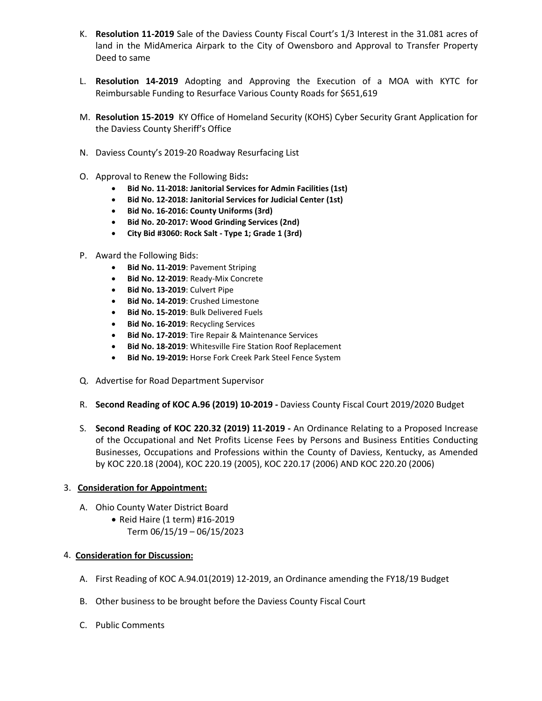- K. **Resolution 11-2019** Sale of the Daviess County Fiscal Court's 1/3 Interest in the 31.081 acres of land in the MidAmerica Airpark to the City of Owensboro and Approval to Transfer Property Deed to same
- L. **Resolution 14-2019** Adopting and Approving the Execution of a MOA with KYTC for Reimbursable Funding to Resurface Various County Roads for \$651,619
- M. **Resolution 15-2019** KY Office of Homeland Security (KOHS) Cyber Security Grant Application for the Daviess County Sheriff's Office
- N. Daviess County's 2019-20 Roadway Resurfacing List
- O. Approval to Renew the Following Bids**:**
	- **Bid No. 11-2018: Janitorial Services for Admin Facilities (1st)**
	- **Bid No. 12-2018: Janitorial Services for Judicial Center (1st)**
	- **Bid No. 16-2016: County Uniforms (3rd)**
	- **Bid No. 20-2017: Wood Grinding Services (2nd)**
	- **City Bid #3060: Rock Salt - Type 1; Grade 1 (3rd)**
- P. Award the Following Bids:
	- **Bid No. 11-2019**: Pavement Striping
	- **Bid No. 12-2019**: Ready-Mix Concrete
	- **Bid No. 13-2019**: Culvert Pipe
	- **Bid No. 14-2019**: Crushed Limestone
	- **Bid No. 15-2019**: Bulk Delivered Fuels
	- **Bid No. 16-2019**: Recycling Services
	- **Bid No. 17-2019**: Tire Repair & Maintenance Services
	- **Bid No. 18-2019**: Whitesville Fire Station Roof Replacement
	- **Bid No. 19-2019:** Horse Fork Creek Park Steel Fence System
- Q. Advertise for Road Department Supervisor
- R. **Second Reading of KOC A.96 (2019) 10-2019 -** Daviess County Fiscal Court 2019/2020 Budget
- S. **Second Reading of KOC 220.32 (2019) 11-2019 -** An Ordinance Relating to a Proposed Increase of the Occupational and Net Profits License Fees by Persons and Business Entities Conducting Businesses, Occupations and Professions within the County of Daviess, Kentucky, as Amended by KOC 220.18 (2004), KOC 220.19 (2005), KOC 220.17 (2006) AND KOC 220.20 (2006)

#### 3. **Consideration for Appointment:**

- A. Ohio County Water District Board
	- Reid Haire (1 term) #16-2019 Term 06/15/19 – 06/15/2023

## 4. **Consideration for Discussion:**

- A. First Reading of KOC A.94.01(2019) 12-2019, an Ordinance amending the FY18/19 Budget
- B. Other business to be brought before the Daviess County Fiscal Court
- C. Public Comments